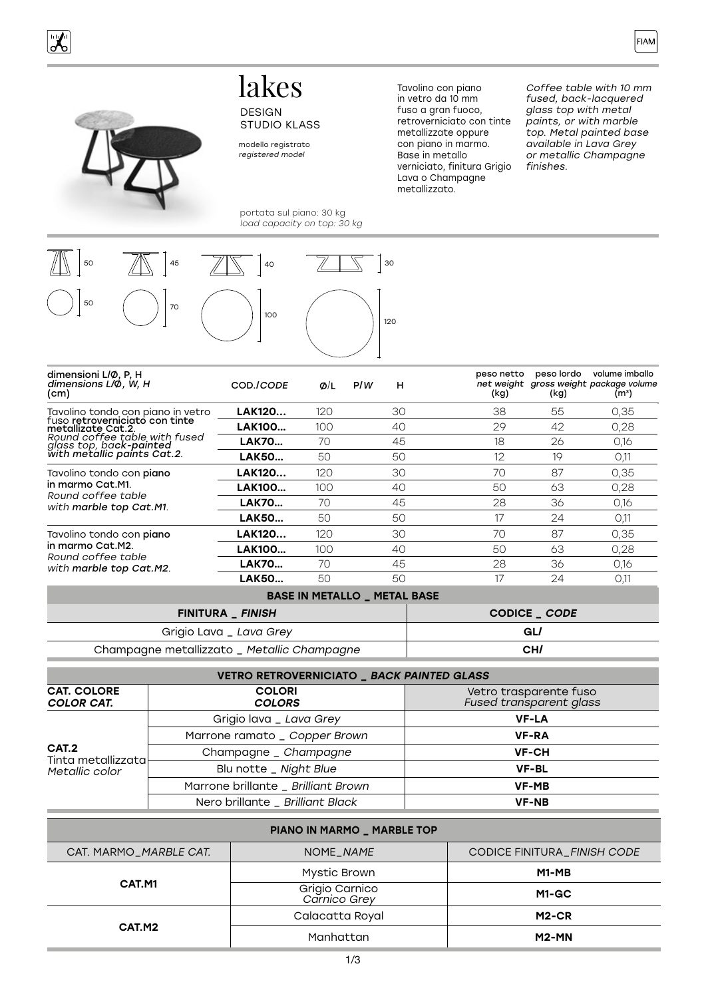

# lakes DESIGN



#### modello registrato registered model

STUDIO KLASS

portata sul piano: 30 kg load capacity on top: 30 kg



peso netto net weight (kg) peso lordo gross weight package volume (kg) volume imballo  $(m<sup>3</sup>)$ COD./CODE Ø/L P/<sup>W</sup> H dimensioni L/Ø, P, H dimensions L/Ø, W, H (cm) Tavolino tondo con piano in vetro<br>fuso **retroverniciato con tinte<br>metallizate Cat.2.**<br>Round coffee table with fused Round coffee table with fused<br>glass top, ba**ck-painted**<br>with metallic paints Cat.2. **LAK120...** 120 30 38 55 0.35 **LAK100…** 100 40 29 42 0,28 **LAK70…** 70 45 18 26 0,16 **LAK50…** 50 50 12 19 0,11 Tavolino tondo con piano in marmo Cat.M1. Round coffee table with marble top Cat.M1. **LAK120...** 120 30 70 87 0,35 LAK100... 100 40 50 63 0,28 **LAK70…** 70 45 28 36 0,16 **LAK50…** 50 50 17 24 0,11 Tavolino tondo con piano in marmo Cat.M2. Round coffee table with marble top Cat.M2. **LAK120...** 120 30 70 87 0,35 LAK100... 100 40 50 63 0,28 **LAK70...** 70 45 28 36 0,16 **LAK50…** 50 50 17 24 0,11

#### BASE IN METALLO \_ METAL BASE

| FINITURA _ FINISH                           | CODICE CODE |
|---------------------------------------------|-------------|
| Grigio Lava _ Lava Grey                     | GL/         |
| Champagne metallizzato _ Metallic Champagne | CH/         |

| VETRO RETROVERNICIATO _ BACK PAINTED GLASS    |                                     |                                                   |  |
|-----------------------------------------------|-------------------------------------|---------------------------------------------------|--|
| <b>CAT. COLORE</b><br><b>COLOR CAT.</b>       | <b>COLORI</b><br><b>COLORS</b>      | Vetro trasparente fuso<br>Fused transparent glass |  |
| CAT.2<br>Tinta metallizzata<br>Metallic color | Grigio lava _ Lava Grey             | <b>VF-LA</b>                                      |  |
|                                               | Marrone ramato _ Copper Brown       | <b>VF-RA</b>                                      |  |
|                                               | Champagne _ Champagne               | <b>VF-CH</b>                                      |  |
|                                               | Blu notte _ Night Blue              | <b>VF-BL</b>                                      |  |
|                                               | Marrone brillante _ Brilliant Brown | <b>VF-MB</b>                                      |  |
|                                               | Nero brillante _ Brilliant Black    | <b>VF-NB</b>                                      |  |

| PIANO IN MARMO _ MARBLE TOP |                                |                                    |  |  |
|-----------------------------|--------------------------------|------------------------------------|--|--|
| CAT. MARMO_MARBLE CAT.      | NOME_NAME                      | <b>CODICE FINITURA_FINISH CODE</b> |  |  |
| CAT.M1                      | Mystic Brown                   | M1-MB                              |  |  |
|                             | Grigio Carnico<br>Carnico Grey | $M1-GC$                            |  |  |
| CAT.M2                      | Calacatta Royal                | M <sub>2</sub> -CR                 |  |  |
|                             | Manhattan                      | $M2-MN$                            |  |  |

metallizzate oppure con piano in marmo. Base in metallo verniciato, finitura Grigio Lava o Champagne metallizzato.

Tavolino con piano in vetro da 10 mm fuso a gran fuoco, retroverniciato con tinte

Coffee table with 10 mm fused, back-lacquered glass top with metal paints, or with marble top. Metal painted base available in Lava Grey or metallic Champagne finishes.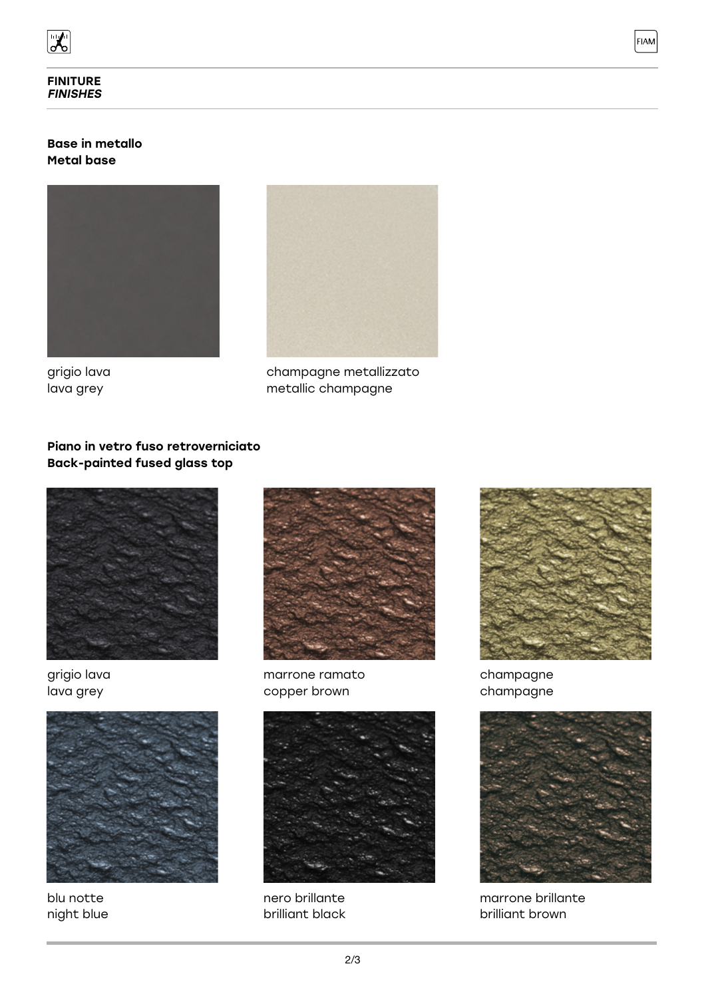

## Base in metallo Metal base





grigio lava lava grey

champagne metallizzato metallic champagne

# Piano in vetro fuso retroverniciato Back-painted fused glass top



grigio lava lava grey



blu notte night blue



marrone ramato copper brown



nero brillante brilliant black



**FIAM** 

champagne champagne



marrone brillante brilliant brown